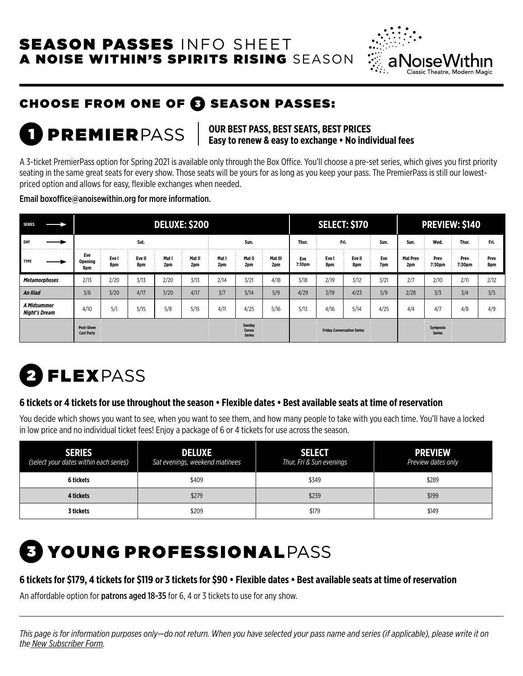## SEASON PASSES INFO SHEET A NOISE WITHIN'S SPIRITS RISING SEASON



# CHOOSE FROM ONE OF @ SEASON PASSES:

### PREMIERPASS **OUR BEST PASS, BEST SEATS, BEST PRICES Easy to renew & easy to exchange • No individual fees**

A 3-ticket PremierPass option for Spring 2021 is available only through the Box Office. You'll choose a pre-set series, which gives you first priority seating in the same great seats for every show. Those seats will be yours for as long as you keep your pass. The PremierPass is still our lowestpriced option and allows for easy, flexible exchanges when needed.

Email boxoffice@anoisewithin.org for more information.

| <b>SERIES</b>                       | <b>DELUXE: \$200</b>                  |              |               |              |               |              | <b>SELECT: \$170</b>             |                |               |              | <b>PREVIEW: \$140</b>             |            |                        |                           |                |             |
|-------------------------------------|---------------------------------------|--------------|---------------|--------------|---------------|--------------|----------------------------------|----------------|---------------|--------------|-----------------------------------|------------|------------------------|---------------------------|----------------|-------------|
| DAY                                 | Sat.                                  |              |               | Sun.         |               |              | Thur.                            | Fri.           |               | Sun.         | Sun.                              | Wed.       | Thur.                  | Fri.                      |                |             |
| <b>TYPE</b>                         | Eve<br><b>Opening</b><br>8pm          | Eve I<br>8pm | Eve II<br>8pm | Mat I<br>2pm | Mat II<br>2pm | Mat I<br>2pm | Mat II<br>2pm                    | Mat III<br>2pm | Eve<br>7:30pm | Eve I<br>8pm | Eve II<br>8pm                     | Eve<br>7pm | <b>Mat Prev</b><br>2pm | Prev<br>7:30pm            | Prev<br>7:30pm | Prev<br>8pm |
| <b>Metamorphoses</b>                | 2/13                                  | 2/20         | 3/13          | 2/20         | 3/13          | 2/14         | 3/21                             | 4/18           | 3/18          | 2/19         | 3/12                              | 3/21       | 2/7                    | 2/10                      | 2/11           | 2/12        |
| An Iliad                            | 3/6                                   | 3/20         | 4/17          | 3/20         | 4/17          | 3/7          | 3/14                             | 5/9            | 4/29          | 3/19         | 4/23                              | 5/9        | 2/28                   | 3/3                       | 3/4            | 3/5         |
| A Midsummer<br><b>Night's Dream</b> | 4/10                                  | 5/1          | 5/15          | 5/8          | 5/15          | 4/11         | 4/25                             | 5/16           | 5/13          | 4/16         | 5/14                              | 4/25       | 4/4                    | 4/7                       | 4/8            | 4/9         |
|                                     | <b>Post-Show</b><br><b>Cast Party</b> |              |               |              |               |              | Sunday<br>Convo<br><b>Series</b> |                |               |              | <b>Friday Conversation Series</b> |            |                        | Symposia<br><b>Series</b> |                |             |

# 2 FLEXPASS

### **6 tickets or 4 tickets for use throughout the season • Flexible dates • Best available seats at time of reservation**

You decide which shows you want to see, when you want to see them, and how many people to take with you each time. You'll have a locked in low price and no individual ticket fees! Enjoy a package of 6 or 4 tickets for use across the season.

| <b>SERIES</b><br>(select your dates within each series) | <b>DELUXE</b><br>Sat evenings, weekend matinees | <b>SELECT</b><br>Thur, Fri & Sun evenings | <b>PREVIEW</b><br>Preview dates only |  |  |
|---------------------------------------------------------|-------------------------------------------------|-------------------------------------------|--------------------------------------|--|--|
| 6 tickets                                               | \$409                                           | \$349                                     | \$289                                |  |  |
| 4 tickets                                               | \$279                                           | \$239                                     | \$199                                |  |  |
| 3 tickets                                               | \$209                                           | \$179                                     | \$149                                |  |  |

# **B** YOUNG PROFESSIONALPASS

#### **6 tickets for \$179, 4 tickets for \$119 or 3 tickets for \$90 • Flexible dates • Best available seats at time of reservation**

An affordable option for patrons aged 18-35 for 6, 4 or 3 tickets to use for any show.

*This page is for information purposes only—do not return. When you have selected your pass name and series (if applicable), please write it on the New Subscriber Form.*